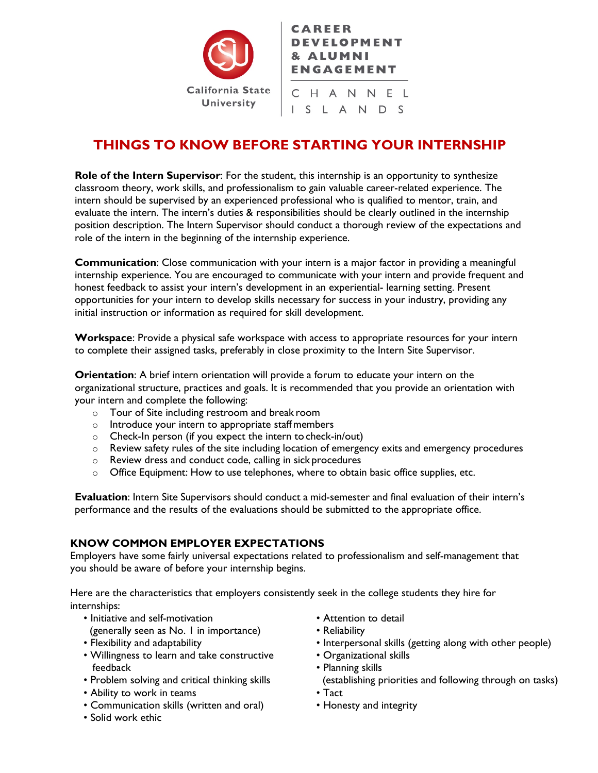

# **CAREER DEVELOPMENT** & ALUMNI **ENGAGEMENT**

CHANNEL I S L A N D S

# **THINGS TO KNOW BEFORE STARTING YOUR INTERNSHIP**

**Role of the Intern Supervisor**: For the student, this internship is an opportunity to synthesize classroom theory, work skills, and professionalism to gain valuable career-related experience. The intern should be supervised by an experienced professional who is qualified to mentor, train, and evaluate the intern. The intern's duties & responsibilities should be clearly outlined in the internship position description. The Intern Supervisor should conduct a thorough review of the expectations and role of the intern in the beginning of the internship experience.

**Communication**: Close communication with your intern is a major factor in providing a meaningful internship experience. You are encouraged to communicate with your intern and provide frequent and honest feedback to assist your intern's development in an experiential- learning setting. Present opportunities for your intern to develop skills necessary for success in your industry, providing any initial instruction or information as required for skill development.

**Workspace**: Provide a physical safe workspace with access to appropriate resources for your intern to complete their assigned tasks, preferably in close proximity to the Intern Site Supervisor.

**Orientation**: A brief intern orientation will provide a forum to educate your intern on the organizational structure, practices and goals. It is recommended that you provide an orientation with your intern and complete the following:

- o Tour of Site including restroom and break room
- o Introduce your intern to appropriate staffmembers
- o Check-In person (if you expect the intern to check-in/out)
- $\circ$  Review safety rules of the site including location of emergency exits and emergency procedures
- o Review dress and conduct code, calling in sick procedures
- o Office Equipment: How to use telephones, where to obtain basic office supplies, etc.

**Evaluation**: Intern Site Supervisors should conduct a mid-semester and final evaluation of their intern's performance and the results of the evaluations should be submitted to the appropriate office.

# **KNOW COMMON EMPLOYER EXPECTATIONS**

Employers have some fairly universal expectations related to professionalism and self-management that you should be aware of before your internship begins.

Here are the characteristics that employers consistently seek in the college students they hire for internships:

- Initiative and self-motivation
- (generally seen as No. 1 in importance)
- Flexibility and adaptability
- Willingness to learn and take constructive feedback
- Problem solving and critical thinking skills
- Ability to work in teams
- Communication skills (written and oral)
- Solid work ethic
- Attention to detail
- Reliability
- Interpersonal skills (getting along with other people)
- Organizational skills
- Planning skills
- (establishing priorities and following through on tasks)
- Tact
- Honesty and integrity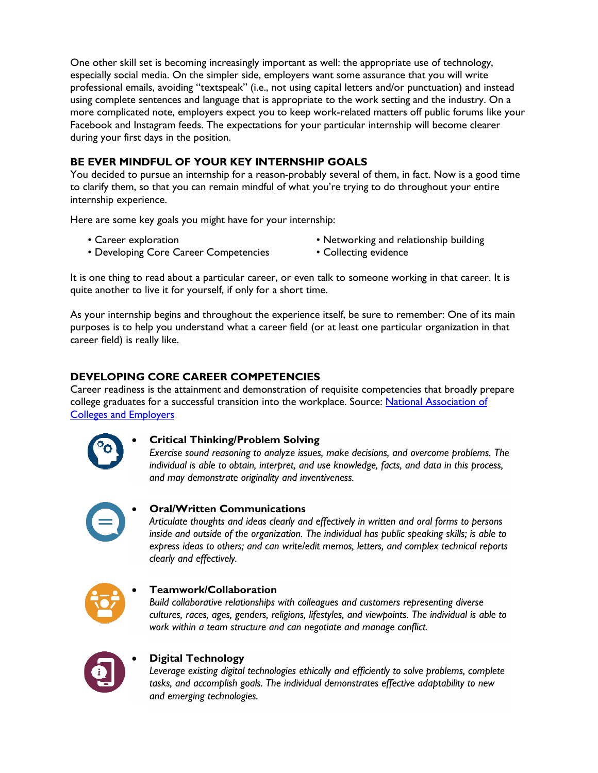One other skill set is becoming increasingly important as well: the appropriate use of technology, especially social media. On the simpler side, employers want some assurance that you will write professional emails, avoiding "textspeak" (i.e., not using capital letters and/or punctuation) and instead using complete sentences and language that is appropriate to the work setting and the industry. On a more complicated note, employers expect you to keep work-related matters off public forums like your Facebook and Instagram feeds. The expectations for your particular internship will become clearer during your first days in the position.

# **BE EVER MINDFUL OF YOUR KEY INTERNSHIP GOALS**

You decided to pursue an internship for a reason-probably several of them, in fact. Now is a good time to clarify them, so that you can remain mindful of what you're trying to do throughout your entire internship experience.

Here are some key goals you might have for your internship:

• Career exploration

- Networking and relationship building
- Developing Core Career Competencies
- Collecting evidence

It is one thing to read about a particular career, or even talk to someone working in that career. It is quite another to live it for yourself, if only for a short time.

As your internship begins and throughout the experience itself, be sure to remember: One of its main purposes is to help you understand what a career field (or at least one particular organization in that career field) is really like.

# **DEVELOPING CORE CAREER COMPETENCIES**

Career readiness is the attainment and demonstration of requisite competencies that broadly prepare college graduates for a successful transition into the workplace. Source: National Association of [Colleges and Employers](https://www.naceweb.org/uploadedfiles/pages/knowledge/articles/career-readiness-fact-sheet-jan-2019.pdf)



#### • **Critical Thinking/Problem Solving**

*Exercise sound reasoning to analyze issues, make decisions, and overcome problems. The individual is able to obtain, interpret, and use knowledge, facts, and data in this process, and may demonstrate originality and inventiveness.*



# • **Oral/Written Communications**

*Articulate thoughts and ideas clearly and effectively in written and oral forms to persons inside and outside of the organization. The individual has public speaking skills; is able to express ideas to others; and can write/edit memos, letters, and complex technical reports clearly and effectively.*



#### • **Teamwork/Collaboration**

*Build collaborative relationships with colleagues and customers representing diverse cultures, races, ages, genders, religions, lifestyles, and viewpoints. The individual is able to work within a team structure and can negotiate and manage conflict.*



#### • **Digital Technology**

*Leverage existing digital technologies ethically and efficiently to solve problems, complete tasks, and accomplish goals. The individual demonstrates effective adaptability to new and emerging technologies.*